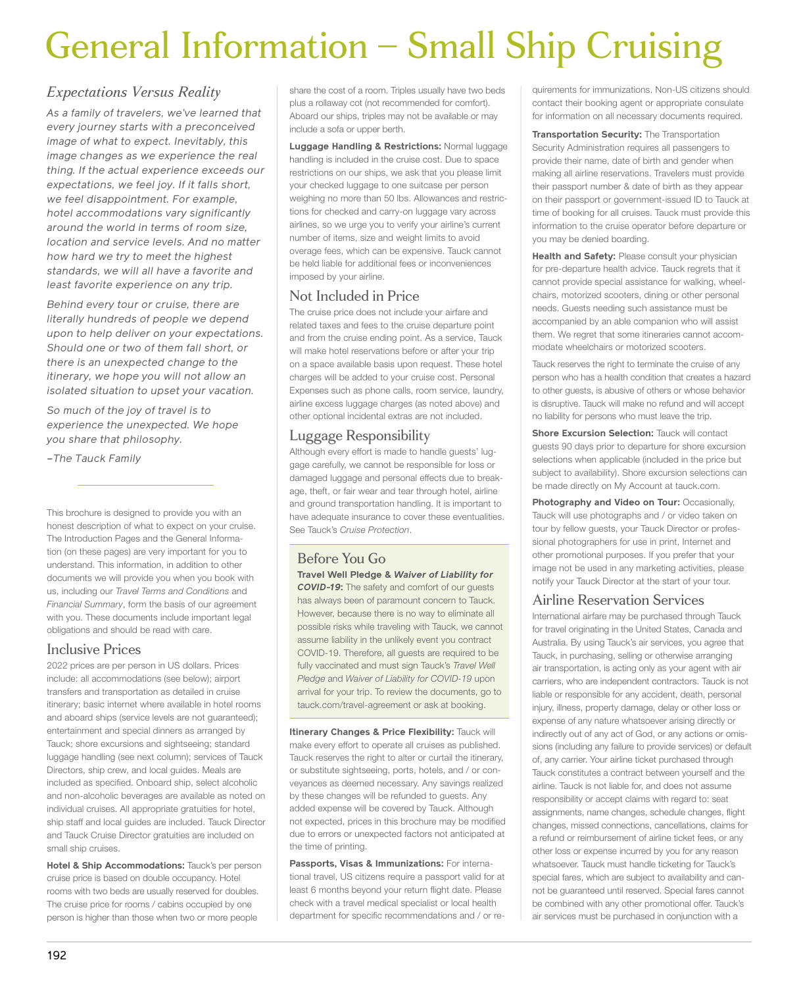# General Information – Small Ship Cruising

# *Expectations Versus Reality*

*As a family of travelers, we've learned that every journey starts with a preconceived image of what to expect. Inevitably, this image changes as we experience the real thing. If the actual experience exceeds our expectations, we feel joy. If it falls short, we feel disappointment. For example, hotel accommodations vary significantly around the world in terms of room size, location and service levels. And no matter how hard we try to meet the highest standards, we will all have a favorite and least favorite experience on any trip.*

*Behind every tour or cruise, there are literally hundreds of people we depend upon to help deliver on your expectations. Should one or two of them fall short, or there is an unexpected change to the itinerary, we hope you will not allow an isolated situation to upset your vacation.*

*So much of the joy of travel is to experience the unexpected. We hope you share that philosophy.*

*–The Tauck Family*

This brochure is designed to provide you with an honest description of what to expect on your cruise. The Introduction Pages and the General Information (on these pages) are very important for you to understand. This information, in addition to other documents we will provide you when you book with us, including our *Travel Terms and Conditions* and *Financial Summary*, form the basis of our agreement with you. These documents include important legal obligations and should be read with care.

## Inclusive Prices

2022 prices are per person in US dollars. Prices include: all accommodations (see below); airport transfers and transportation as detailed in cruise itinerary; basic internet where available in hotel rooms and aboard ships (service levels are not guaranteed); entertainment and special dinners as arranged by Tauck; shore excursions and sightseeing; standard luggage handling (see next column); services of Tauck Directors, ship crew, and local guides. Meals are included as specified. Onboard ship, select alcoholic and non-alcoholic beverages are available as noted on individual cruises. All appropriate gratuities for hotel, ship staff and local guides are included. Tauck Director and Tauck Cruise Director gratuities are included on small ship cruises.

**Hotel & Ship Accommodations:** Tauck's per person cruise price is based on double occupancy. Hotel rooms with two beds are usually reserved for doubles. The cruise price for rooms / cabins occupied by one person is higher than those when two or more people

share the cost of a room. Triples usually have two beds plus a rollaway cot (not recommended for comfort). Aboard our ships, triples may not be available or may include a sofa or upper berth.

**Luggage Handling & Restrictions:** Normal luggage handling is included in the cruise cost. Due to space restrictions on our ships, we ask that you please limit your checked luggage to one suitcase per person weighing no more than 50 lbs. Allowances and restrictions for checked and carry-on luggage vary across airlines, so we urge you to verify your airline's current number of items, size and weight limits to avoid overage fees, which can be expensive. Tauck cannot be held liable for additional fees or inconveniences imposed by your airline.

# Not Included in Price

The cruise price does not include your airfare and related taxes and fees to the cruise departure point and from the cruise ending point. As a service, Tauck will make hotel reservations before or after your trip on a space available basis upon request. These hotel charges will be added to your cruise cost. Personal Expenses such as phone calls, room service, laundry, airline excess luggage charges (as noted above) and other optional incidental extras are not included.

# Luggage Responsibility

Although every effort is made to handle guests' luggage carefully, we cannot be responsible for loss or damaged luggage and personal effects due to breakage, theft, or fair wear and tear through hotel, airline and ground transportation handling. It is important to have adequate insurance to cover these eventualities. See Tauck's *Cruise Protection*.

# Before You Go

**Travel Well Pledge &** *Waiver of Liability for COVID-19***:** The safety and comfort of our guests has always been of paramount concern to Tauck. However, because there is no way to eliminate all possible risks while traveling with Tauck, we cannot assume liability in the unlikely event you contract COVID-19. Therefore, all guests are required to be fully vaccinated and must sign Tauck's *Travel Well Pledge* and *Waiver of Liability for COVID-19* upon arrival for your trip. To review the documents, go to tauck.com/travel-agreement or ask at booking.

**Itinerary Changes & Price Flexibility:** Tauck will make every effort to operate all cruises as published. Tauck reserves the right to alter or curtail the itinerary, or substitute sightseeing, ports, hotels, and / or conveyances as deemed necessary. Any savings realized by these changes will be refunded to guests. Any added expense will be covered by Tauck. Although not expected, prices in this brochure may be modified due to errors or unexpected factors not anticipated at the time of printing.

**Passports, Visas & Immunizations:** For international travel, US citizens require a passport valid for at least 6 months beyond your return flight date. Please check with a travel medical specialist or local health department for specific recommendations and / or re-

quirements for immunizations. Non-US citizens should contact their booking agent or appropriate consulate for information on all necessary documents required.

**Transportation Security:** The Transportation Security Administration requires all passengers to provide their name, date of birth and gender when making all airline reservations. Travelers must provide their passport number & date of birth as they appear on their passport or government-issued ID to Tauck at time of booking for all cruises. Tauck must provide this information to the cruise operator before departure or you may be denied boarding.

**Health and Safety:** Please consult your physician for pre-departure health advice. Tauck regrets that it cannot provide special assistance for walking, wheelchairs, motorized scooters, dining or other personal needs. Guests needing such assistance must be accompanied by an able companion who will assist them. We regret that some itineraries cannot accommodate wheelchairs or motorized scooters.

Tauck reserves the right to terminate the cruise of any person who has a health condition that creates a hazard to other guests, is abusive of others or whose behavior is disruptive. Tauck will make no refund and will accept no liability for persons who must leave the trip.

**Shore Excursion Selection: Tauck will contact** guests 90 days prior to departure for shore excursion selections when applicable (included in the price but subject to availability). Shore excursion selections can be made directly on My Account at tauck.com.

**Photography and Video on Tour:** Occasionally, Tauck will use photographs and / or video taken on tour by fellow guests, your Tauck Director or professional photographers for use in print, Internet and other promotional purposes. If you prefer that your image not be used in any marketing activities, please notify your Tauck Director at the start of your tour.

## Airline Reservation Services

International airfare may be purchased through Tauck for travel originating in the United States, Canada and Australia. By using Tauck's air services, you agree that Tauck, in purchasing, selling or otherwise arranging air transportation, is acting only as your agent with air carriers, who are independent contractors. Tauck is not liable or responsible for any accident, death, personal injury, illness, property damage, delay or other loss or expense of any nature whatsoever arising directly or indirectly out of any act of God, or any actions or omissions (including any failure to provide services) or default of, any carrier. Your airline ticket purchased through Tauck constitutes a contract between yourself and the airline. Tauck is not liable for, and does not assume responsibility or accept claims with regard to: seat assignments, name changes, schedule changes, flight changes, missed connections, cancellations, claims for a refund or reimbursement of airline ticket fees, or any other loss or expense incurred by you for any reason whatsoever. Tauck must handle ticketing for Tauck's special fares, which are subject to availability and cannot be guaranteed until reserved. Special fares cannot be combined with any other promotional offer. Tauck's air services must be purchased in conjunction with a